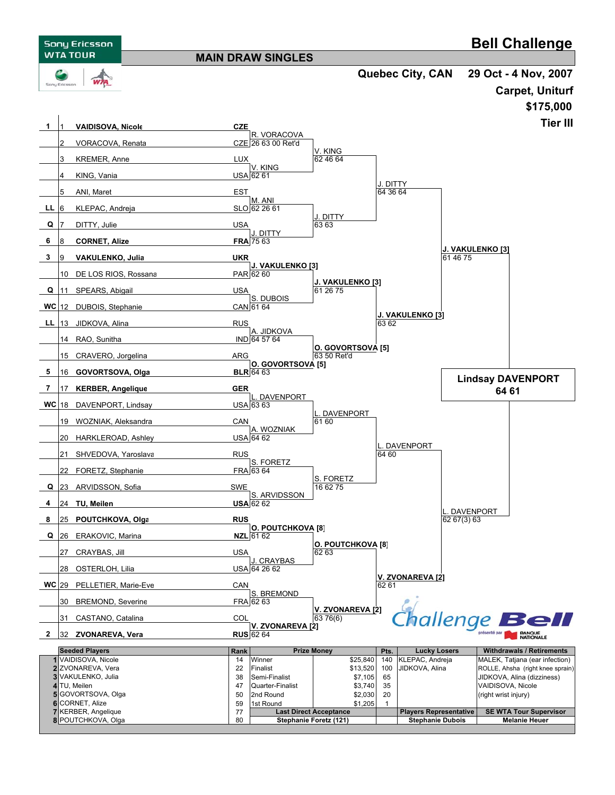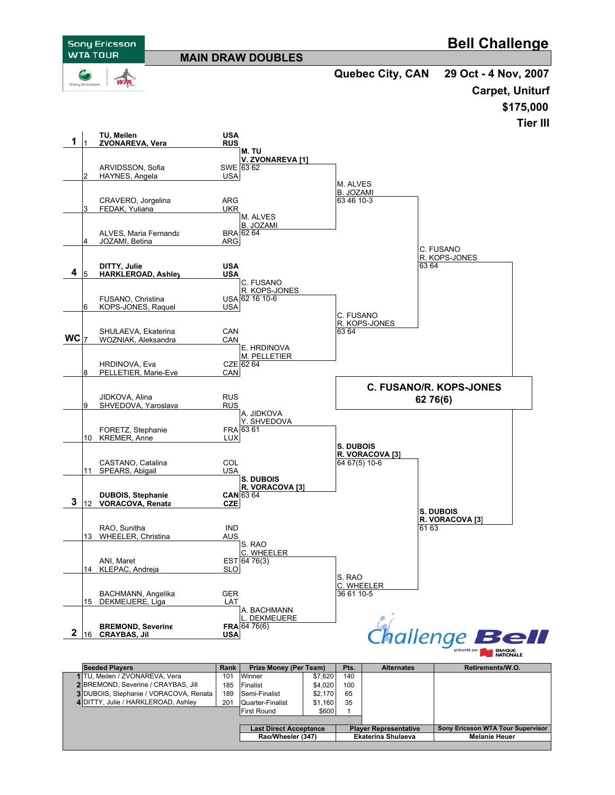